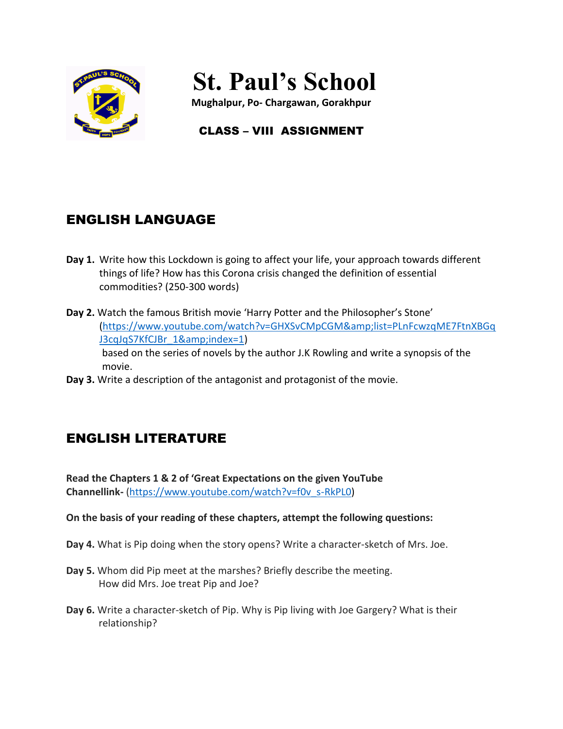

# **St. Paul's School**

**Mughalpur, Po- Chargawan, Gorakhpur**

# CLASS – VIII ASSIGNMENT

# ENGLISH LANGUAGE

- **Day 1.** Write how this Lockdown is going to affect your life, your approach towards different things of life? How has this Corona crisis changed the definition of essential commodities? (250-300 words)
- **Day 2.** Watch the famous British movie 'Harry Potter and the Philosopher's Stone' [\(https://www.youtube.com/watch?v=GHXSvCMpCGM&list=PLnFcwzqME7FtnXBGq](https://www.youtube.com/watch?v=GHXSvCMpCGM&list=PLnFcwzqME7FtnXBGqJ3cqJqS7KfCJBr_1&index=1) [J3cqJqS7KfCJBr\\_1&index=1\)](https://www.youtube.com/watch?v=GHXSvCMpCGM&list=PLnFcwzqME7FtnXBGqJ3cqJqS7KfCJBr_1&index=1) based on the series of novels by the author J.K Rowling and write a synopsis of the movie.
- **Day 3.** Write a description of the antagonist and protagonist of the movie.

# ENGLISH LITERATURE

**Read the Chapters 1 & 2 of 'Great Expectations on the given YouTube Channellink-** [\(https://www.youtube.com/watch?v=f0v\\_s-RkPL0\)](https://www.youtube.com/watch?v=f0v_s-RkPL0)

### **On the basis of your reading of these chapters, attempt the following questions:**

- **Day 4.** What is Pip doing when the story opens? Write a character-sketch of Mrs. Joe.
- **Day 5.** Whom did Pip meet at the marshes? Briefly describe the meeting. How did Mrs. Joe treat Pip and Joe?
- **Day 6.** Write a character-sketch of Pip. Why is Pip living with Joe Gargery? What is their relationship?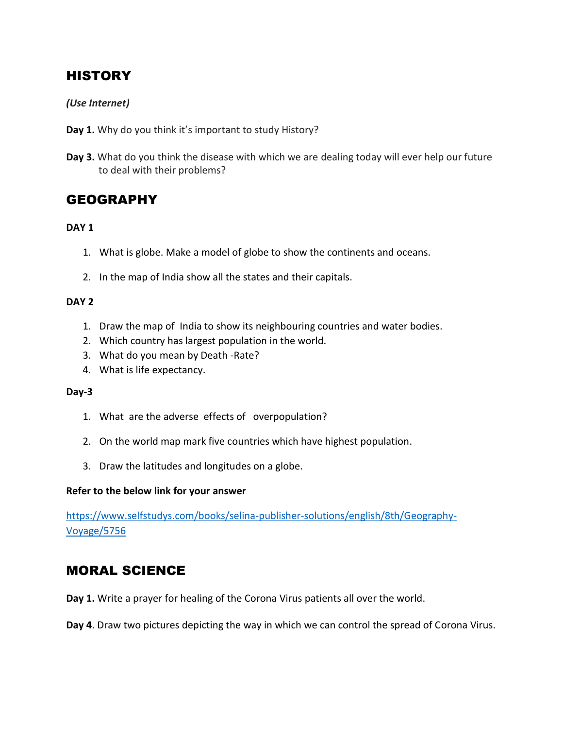# **HISTORY**

### *(Use Internet)*

- **Day 1.** Why do you think it's important to study History?
- **Day 3.** What do you think the disease with which we are dealing today will ever help our future to deal with their problems?

### **GEOGRAPHY**

### **DAY 1**

- 1. What is globe. Make a model of globe to show the continents and oceans.
- 2. In the map of India show all the states and their capitals.

### **DAY 2**

- 1. Draw the map of India to show its neighbouring countries and water bodies.
- 2. Which country has largest population in the world.
- 3. What do you mean by Death -Rate?
- 4. What is life expectancy.

### **Day-3**

- 1. What are the adverse effects of overpopulation?
- 2. On the world map mark five countries which have highest population.
- 3. Draw the latitudes and longitudes on a globe.

### **Refer to the below link for your answer**

[https://www.selfstudys.com/books/selina-publisher-solutions/english/8th/Geography-](https://www.selfstudys.com/books/selina-publisher-solutions/english/8th/Geography-Voyage/5756)[Voyage/5756](https://www.selfstudys.com/books/selina-publisher-solutions/english/8th/Geography-Voyage/5756)

# MORAL SCIENCE

**Day 1.** Write a prayer for healing of the Corona Virus patients all over the world.

**Day 4**. Draw two pictures depicting the way in which we can control the spread of Corona Virus.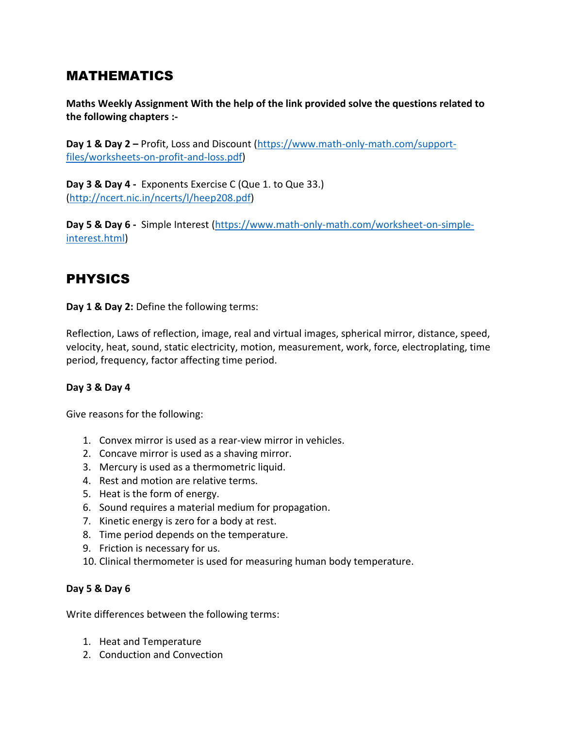### MATHEMATICS

**Maths Weekly Assignment With the help of the link provided solve the questions related to the following chapters :-**

**Day 1 & Day 2 –** Profit, Loss and Discount [\(https://www.math-only-math.com/support](https://www.math-only-math.com/support-files/worksheets-on-profit-and-loss.pdf)[files/worksheets-on-profit-and-loss.pdf\)](https://www.math-only-math.com/support-files/worksheets-on-profit-and-loss.pdf)

**Day 3 & Day 4 -** Exponents Exercise C (Que 1. to Que 33.) [\(http://ncert.nic.in/ncerts/l/heep208.pdf\)](http://ncert.nic.in/ncerts/l/heep208.pdf)

**Day 5 & Day 6 -** Simple Interest [\(https://www.math-only-math.com/worksheet-on-simple](https://www.math-only-math.com/worksheet-on-simple-interest.html)[interest.html\)](https://www.math-only-math.com/worksheet-on-simple-interest.html)

# PHYSICS

**Day 1 & Day 2:** Define the following terms:

Reflection, Laws of reflection, image, real and virtual images, spherical mirror, distance, speed, velocity, heat, sound, static electricity, motion, measurement, work, force, electroplating, time period, frequency, factor affecting time period.

### **Day 3 & Day 4**

Give reasons for the following:

- 1. Convex mirror is used as a rear-view mirror in vehicles.
- 2. Concave mirror is used as a shaving mirror.
- 3. Mercury is used as a thermometric liquid.
- 4. Rest and motion are relative terms.
- 5. Heat is the form of energy.
- 6. Sound requires a material medium for propagation.
- 7. Kinetic energy is zero for a body at rest.
- 8. Time period depends on the temperature.
- 9. Friction is necessary for us.
- 10. Clinical thermometer is used for measuring human body temperature.

### **Day 5 & Day 6**

Write differences between the following terms:

- 1. Heat and Temperature
- 2. Conduction and Convection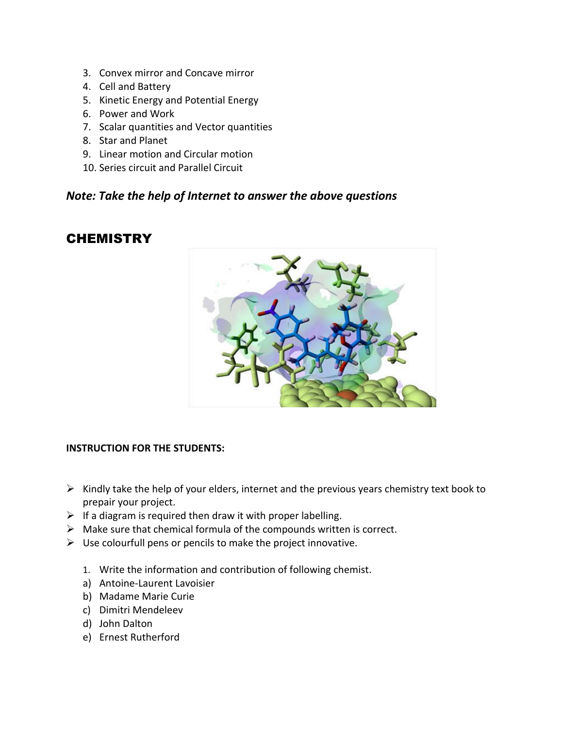- 3. Convex mirror and Concave mirror
- 4. Cell and Battery
- 5. Kinetic Energy and Potential Energy
- 6. Power and Work
- 7. Scalar quantities and Vector quantities
- 8. Star and Planet
- 9. Linear motion and Circular motion
- 10. Series circuit and Parallel Circuit

### *Note: Take the help of Internet to answer the above questions*

# **CHEMISTRY**



### **INSTRUCTION FOR THE STUDENTS:**

- $\triangleright$  Kindly take the help of your elders, internet and the previous years chemistry text book to prepair your project.
- $\triangleright$  If a diagram is required then draw it with proper labelling.
- $\triangleright$  Make sure that chemical formula of the compounds written is correct.
- $\triangleright$  Use colourfull pens or pencils to make the project innovative.
	- 1. Write the information and contribution of following chemist.
	- a) Antoine-Laurent Lavoisier
	- b) Madame Marie Curie
	- c) Dimitri Mendeleev
	- d) John Dalton
	- e) Ernest Rutherford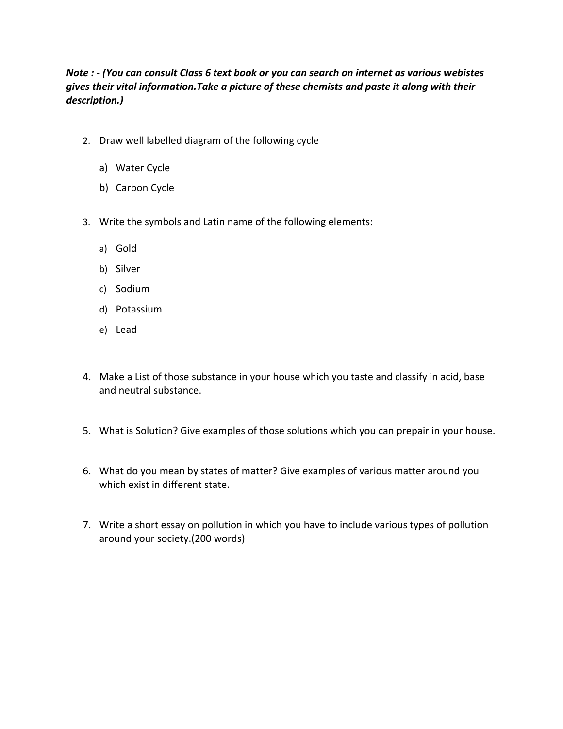### *Note : - (You can consult Class 6 text book or you can search on internet as various webistes gives their vital information.Take a picture of these chemists and paste it along with their description.)*

- 2. Draw well labelled diagram of the following cycle
	- a) Water Cycle
	- b) Carbon Cycle
- 3. Write the symbols and Latin name of the following elements:
	- a) Gold
	- b) Silver
	- c) Sodium
	- d) Potassium
	- e) Lead
- 4. Make a List of those substance in your house which you taste and classify in acid, base and neutral substance.
- 5. What is Solution? Give examples of those solutions which you can prepair in your house.
- 6. What do you mean by states of matter? Give examples of various matter around you which exist in different state.
- 7. Write a short essay on pollution in which you have to include various types of pollution around your society.(200 words)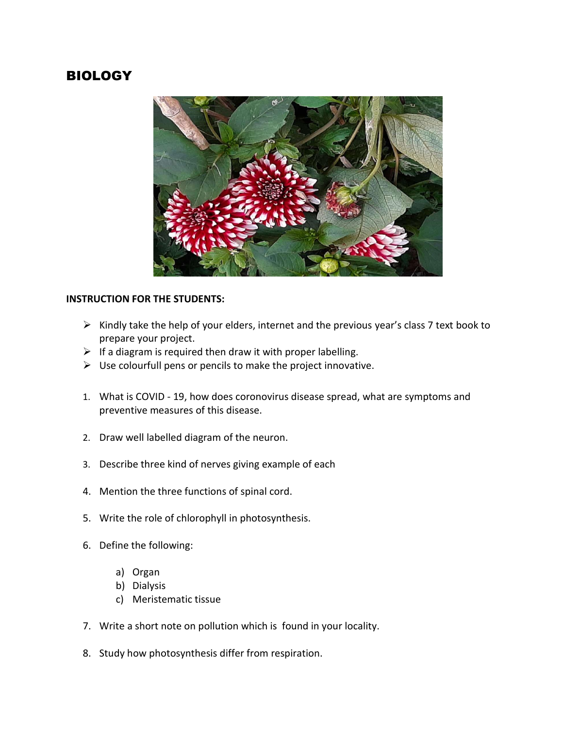### BIOLOGY



#### **INSTRUCTION FOR THE STUDENTS:**

- $\triangleright$  Kindly take the help of your elders, internet and the previous year's class 7 text book to prepare your project.
- $\triangleright$  If a diagram is required then draw it with proper labelling.
- $\triangleright$  Use colourfull pens or pencils to make the project innovative.
- 1. What is COVID 19, how does coronovirus disease spread, what are symptoms and preventive measures of this disease.
- 2. Draw well labelled diagram of the neuron.
- 3. Describe three kind of nerves giving example of each
- 4. Mention the three functions of spinal cord.
- 5. Write the role of chlorophyll in photosynthesis.
- 6. Define the following:
	- a) Organ
	- b) Dialysis
	- c) Meristematic tissue
- 7. Write a short note on pollution which is found in your locality.
- 8. Study how photosynthesis differ from respiration.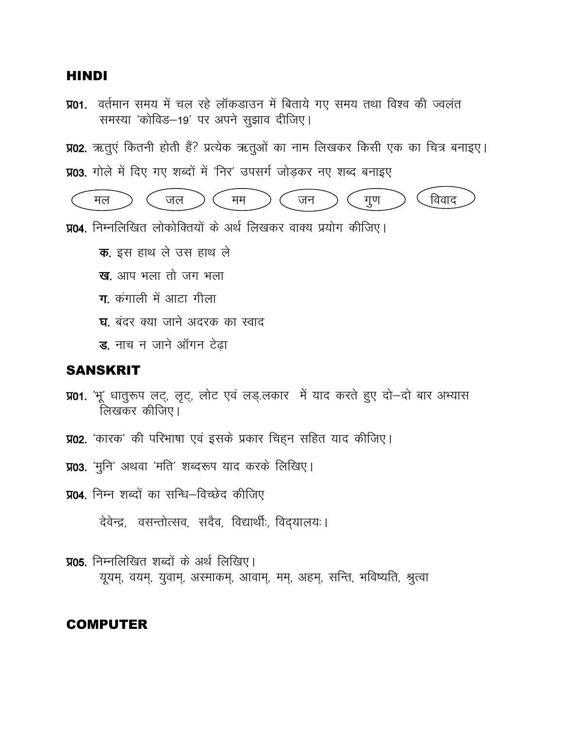### **HINDI**

**प्र01.** वर्तमान समय में चल रहे लॉकडाउन में बिताये गए समय तथा विश्व की ज्वलंत समस्या 'कोविड-19' पर अपने सुझाव दीजिए।

**प्र02.** ऋतुएं कितनी होती हैं? प्रत्येक ऋतुओं का नाम लिखकर किसी एक का चित्र बनाइए।

**प्र03.** गोले में दिए गए शब्दों में 'निर' उपसर्ग जोड़कर नए शब्द बनाइए



- **प्र04**. निम्नलिखित लोकोक्तियों के अर्थ लिखकर वाक्य प्रयोग कीजिए।
	- क. इस हाथ ले उस हाथ ले
	- ख. आप भला तो जग भला
	- $\overline{\mathbf{u}}$  कंगाली में आटा गीला
	- **घ**. बंदर क्या जाने अदरक का स्वाद
	- $\overline{\mathbf{s}}$ . नाच न जाने ऑगन टेढा

### SANSKRIT

- **प्र01.** 'भू' धातुरूप लट्, लृट्, लोट एवं लड्.लकार में याद करते हुए दो-दो बार अभ्यास लिखकर कीजिए।
- **प्र02.** 'कारक' की परिभाषा एवं इसके प्रकार चिहन सहित याद कीजिए।
- **प्र03.** 'मुनि' अथवा 'मति' शब्दरूप याद करके लिखिए।
- **प्र04**, निम्न शब्दों का सन्धि–विच्छेद कीजिए

देवेन्द्र, वसन्तोत्सव, सदैव, विद्यार्थीः, विद्यालयः।

**प्र05**. निम्नलिखित शब्दों के अर्थ लिखिए। यूयम्, वयम्, युवाम्, अस्माकम्, आवाम्, मम्, अहम्, सन्ति, भविष्यति, श्रुत्वा

### COMPUTER